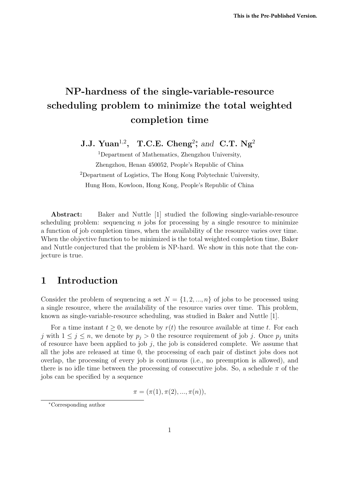# NP-hardness of the single-variable-resource scheduling problem to minimize the total weighted completion time

J.J. Yuan<sup>1,2</sup>, T.C.E. Cheng<sup>2</sup><sup>\*</sup>, and C.T. Ng<sup>2</sup>

<sup>1</sup>Department of Mathematics, Zhengzhou University, Zhengzhou, Henan 450052, People's Republic of China <sup>2</sup>Department of Logistics, The Hong Kong Polytechnic University, Hung Hom, Kowloon, Hong Kong, People's Republic of China

Abstract: Baker and Nuttle [1] studied the following single-variable-resource scheduling problem: sequencing  $n$  jobs for processing by a single resource to minimize a function of job completion times, when the availability of the resource varies over time. When the objective function to be minimized is the total weighted completion time, Baker and Nuttle conjectured that the problem is NP-hard. We show in this note that the conjecture is true.

#### 1 Introduction

Consider the problem of sequencing a set  $N = \{1, 2, ..., n\}$  of jobs to be processed using a single resource, where the availability of the resource varies over time. This problem, known as single-variable-resource scheduling, was studied in Baker and Nuttle [1].

For a time instant  $t \geq 0$ , we denote by  $r(t)$  the resource available at time t. For each j with  $1 \leq j \leq n$ , we denote by  $p_j > 0$  the resource requirement of job j. Once  $p_j$  units of resource have been applied to job j, the job is considered complete. We assume that all the jobs are released at time 0, the processing of each pair of distinct jobs does not overlap, the processing of every job is continuous (i.e., no preemption is allowed), and there is no idle time between the processing of consecutive jobs. So, a schedule  $\pi$  of the jobs can be specified by a sequence

$$
\pi = (\pi(1), \pi(2), ..., \pi(n)),
$$

<sup>∗</sup>Corresponding author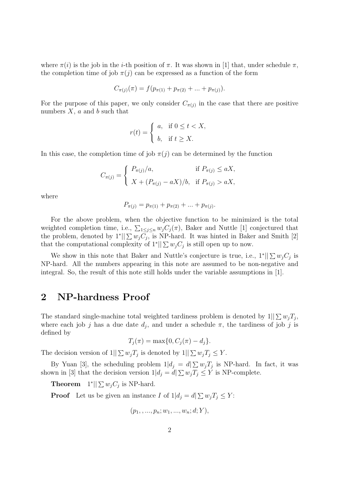where  $\pi(i)$  is the job in the *i*-th position of  $\pi$ . It was shown in [1] that, under schedule  $\pi$ , the completion time of job  $\pi(j)$  can be expressed as a function of the form

$$
C_{\pi(j)}(\pi) = f(p_{\pi(1)} + p_{\pi(2)} + \dots + p_{\pi(j)}).
$$

For the purpose of this paper, we only consider  $C_{\pi(j)}$  in the case that there are positive numbers  $X$ ,  $a$  and  $b$  such that

$$
r(t) = \begin{cases} a, & \text{if } 0 \le t < X, \\ b, & \text{if } t \ge X. \end{cases}
$$

In this case, the completion time of job  $\pi(j)$  can be determined by the function

$$
C_{\pi(j)} = \begin{cases} P_{\pi(j)}/a, & \text{if } P_{\pi(j)} \le aX, \\ X + (P_{\pi(j)} - aX)/b, & \text{if } P_{\pi(j)} > aX, \end{cases}
$$

where

$$
P_{\pi(j)} = p_{\pi(1)} + p_{\pi(2)} + \dots + p_{\pi(j)}.
$$

For the above problem, when the objective function to be minimized is the total weighted completion time, i.e.,  $\sum_{1 \leq j \leq n} w_j C_j(\pi)$ , Baker and Nuttle [1] conjectured that the problem, denoted by  $1^*$ || $\sum w_j C_j$ , is NP-hard. It was hinted in Baker and Smith [2] that the computational complexity of  $1^*$ ||  $\sum w_j C_j$  is still open up to now.

We show in this note that Baker and Nuttle's conjecture is true, i.e.,  $1^* || \sum w_j C_j$  is NP-hard. All the numbers appearing in this note are assumed to be non-negative and integral. So, the result of this note still holds under the variable assumptions in [1].

#### 2 NP-hardness Proof

The standard single-machine total weighted tardiness problem is denoted by  $1||\sum w_j T_j$ , where each job j has a due date  $d_j$ , and under a schedule  $\pi$ , the tardiness of job j is defined by

$$
T_j(\pi) = \max\{0, C_j(\pi) - d_j\}.
$$

The decision version of  $1||\sum w_jT_j$  is denoted by  $1||\sum w_jT_j \leq Y$ .

By Yuan [3], the scheduling problem  $1|d_j = d \sum w_j T_j$  is NP-hard. In fact, it was shown in [3] that the decision version  $1|d_j = d|\sum w_jT_j \leq Y$  is NP-complete.

**Theorem**  $1^*$ || $\sum w_j C_j$  is NP-hard.

**Proof** Let us be given an instance I of  $1|d_j = d \ge w_j T_j \le Y$ :

$$
(p_1, \ldots, p_n; w_1, \ldots, w_n; d; Y),
$$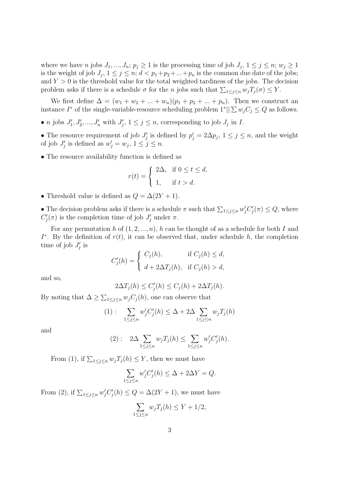where we have *n* jobs  $J_1, ..., J_n$ ;  $p_j \geq 1$  is the processing time of job  $J_j$ ,  $1 \leq j \leq n$ ;  $w_j \geq 1$ is the weight of job  $J_j$ ,  $1 \leq j \leq n$ ;  $d < p_1+p_2+\ldots+p_n$  is the common due date of the jobs; and  $Y > 0$  is the threshold value for the total weighted tardiness of the jobs. The decision problem asks if there is a schedule  $\sigma$  for the n jobs such that  $\sum_{1 \leq j \leq n} w_j T_j(\sigma) \leq Y$ .

We first define  $\Delta = (w_1 + w_2 + ... + w_n)(p_1 + p_2 + ... + p_n)$ . Then we construct an instance  $I^*$  of the single-variable-resource scheduling problem  $1^*$ ||  $\sum w_j C_j \leq Q$  as follows.

• *n* jobs  $J'_1, J'_2, ..., J'_n$  with  $J'_j, 1 \le j \le n$ , corresponding to job  $J_j$  in *I*.

• The resource requirement of job  $J'_j$  is defined by  $p'_j = 2\Delta p_j$ ,  $1 \le j \le n$ , and the weight of job  $J'_j$  is defined as  $w'_j = w_j$ ,  $1 \leq j \leq n$ .

• The resource availability function is defined as

$$
r(t) = \begin{cases} 2\Delta, & \text{if } 0 \le t \le d, \\ 1, & \text{if } t > d. \end{cases}
$$

• Threshold value is defined as  $Q = \Delta(2Y + 1)$ .

• The decision problem asks if there is a schedule  $\pi$  such that  $\sum_{1 \leq j \leq n} w'_j C'_j(\pi) \leq Q$ , where  $C_j'(\pi)$  is the completion time of job  $J_j'$  under  $\pi$ .

For any permutation h of  $(1, 2, ..., n)$ , h can be thought of as a schedule for both I and  $I^*$ . By the definition of  $r(t)$ , it can be observed that, under schedule h, the completion time of job  $J'_j$  is  $\overline{a}$ 

$$
C'_{j}(h) = \begin{cases} C_{j}(h), & \text{if } C_{j}(h) \leq d, \\ d + 2\Delta T_{j}(h), & \text{if } C_{j}(h) > d, \end{cases}
$$

and so,

$$
2\Delta T_j(h) \le C'_j(h) \le C_j(h) + 2\Delta T_j(h).
$$

By noting that  $\Delta \geq \sum_{1 \leq j \leq n} w_j C_j(h)$ , one can observe that

$$
(1): \sum_{1 \le j \le n} w'_j C'_j(h) \le \Delta + 2\Delta \sum_{1 \le j \le n} w_j T_j(h)
$$

and

$$
(2): \ 2\Delta \sum_{1 \le j \le n} w_j T_j(h) \le \sum_{1 \le j \le n} w'_j C'_j(h).
$$

From (1), if  $\sum_{1 \leq j \leq n} w_j T_j(h) \leq Y$ , then we must have

$$
\sum_{1 \le j \le n} w'_j C'_j(h) \le \Delta + 2\Delta Y = Q.
$$

From (2), if  $\sum_{1 \leq j \leq n} w'_j C'_j(h) \leq Q = \Delta(2Y + 1)$ , we must have

$$
\sum_{1 \le j \le n} w_j T_j(h) \le Y + 1/2,
$$